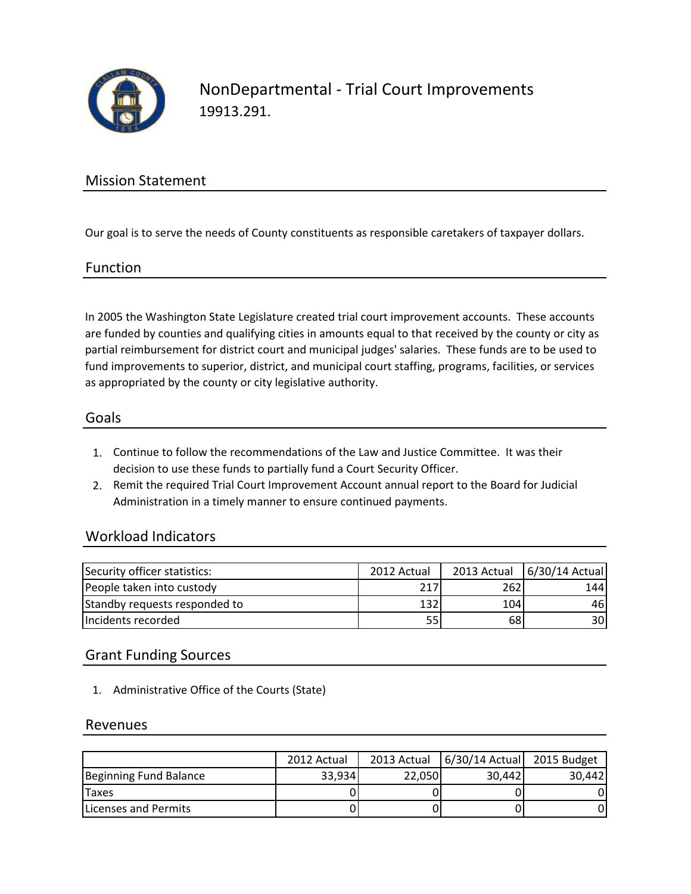

NonDepartmental - Trial Court Improvements 19913.291.

## Mission Statement

Our goal is to serve the needs of County constituents as responsible caretakers of taxpayer dollars.

### Function

In 2005 the Washington State Legislature created trial court improvement accounts. These accounts are funded by counties and qualifying cities in amounts equal to that received by the county or city as partial reimbursement for district court and municipal judges' salaries. These funds are to be used to fund improvements to superior, district, and municipal court staffing, programs, facilities, or services as appropriated by the county or city legislative authority.

### Goals

- 1. Continue to follow the recommendations of the Law and Justice Committee. It was their decision to use these funds to partially fund a Court Security Officer.
- 2. Remit the required Trial Court Improvement Account annual report to the Board for Judicial Administration in a timely manner to ensure continued payments.

### Workload Indicators

| Security officer statistics:  | 2012 Actual |     | 2013 Actual   6/30/14 Actual |
|-------------------------------|-------------|-----|------------------------------|
| People taken into custody     | 217         | 262 | 144                          |
| Standby requests responded to | 132         | 104 | 461                          |
| Incidents recorded            | 55          | 68  | 30                           |

## Grant Funding Sources

1. Administrative Office of the Courts (State)

### Revenues

|                              | 2012 Actual | 2013 Actual | 6/30/14 Actual 2015 Budget |        |
|------------------------------|-------------|-------------|----------------------------|--------|
| Beginning Fund Balance       | 33,934      | 22,050      | 30,442                     | 30.442 |
| <b>Taxes</b>                 |             |             |                            |        |
| <b>ILicenses and Permits</b> |             |             |                            |        |